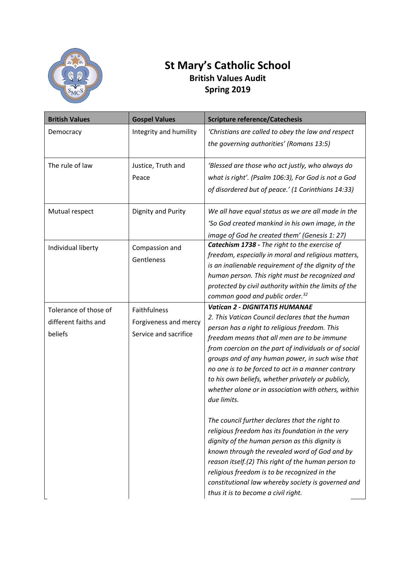

## **St Mary's Catholic School British Values Audit Spring 2019**

| <b>British Values</b> | <b>Gospel Values</b>                           | <b>Scripture reference/Catechesis</b>                                                                    |
|-----------------------|------------------------------------------------|----------------------------------------------------------------------------------------------------------|
| Democracy             | Integrity and humility                         | 'Christians are called to obey the law and respect                                                       |
|                       |                                                | the governing authorities' (Romans 13:5)                                                                 |
| The rule of law       | Justice, Truth and                             | 'Blessed are those who act justly, who always do                                                         |
|                       | Peace                                          | what is right'. (Psalm 106:3), For God is not a God                                                      |
|                       |                                                | of disordered but of peace.' (1 Corinthians 14:33)                                                       |
| Mutual respect        | Dignity and Purity                             | We all have equal status as we are all made in the                                                       |
|                       |                                                | 'So God created mankind in his own image, in the                                                         |
|                       |                                                | image of God he created them' (Genesis 1: 27)                                                            |
| Individual liberty    | Compassion and<br>Gentleness                   | Catechism 1738 - The right to the exercise of                                                            |
|                       |                                                | freedom, especially in moral and religious matters,                                                      |
|                       |                                                | is an inalienable requirement of the dignity of the                                                      |
|                       |                                                | human person. This right must be recognized and<br>protected by civil authority within the limits of the |
|                       |                                                | common good and public order. <sup>32</sup>                                                              |
| Tolerance of those of | Faithfulness                                   | <b>Vatican 2 - DIGNITATIS HUMANAE</b>                                                                    |
|                       |                                                | 2. This Vatican Council declares that the human                                                          |
| different faiths and  | Forgiveness and mercy<br>Service and sacrifice | person has a right to religious freedom. This                                                            |
| beliefs               |                                                | freedom means that all men are to be immune                                                              |
|                       |                                                | from coercion on the part of individuals or of social                                                    |
|                       |                                                | groups and of any human power, in such wise that                                                         |
|                       |                                                | no one is to be forced to act in a manner contrary                                                       |
|                       |                                                | to his own beliefs, whether privately or publicly,                                                       |
|                       |                                                | whether alone or in association with others, within                                                      |
|                       |                                                | due limits.                                                                                              |
|                       |                                                | The council further declares that the right to                                                           |
|                       |                                                | religious freedom has its foundation in the very                                                         |
|                       |                                                | dignity of the human person as this dignity is                                                           |
|                       |                                                | known through the revealed word of God and by                                                            |
|                       |                                                | reason itself.(2) This right of the human person to                                                      |
|                       |                                                | religious freedom is to be recognized in the                                                             |
|                       |                                                | constitutional law whereby society is governed and                                                       |
|                       |                                                | thus it is to become a civil right.                                                                      |